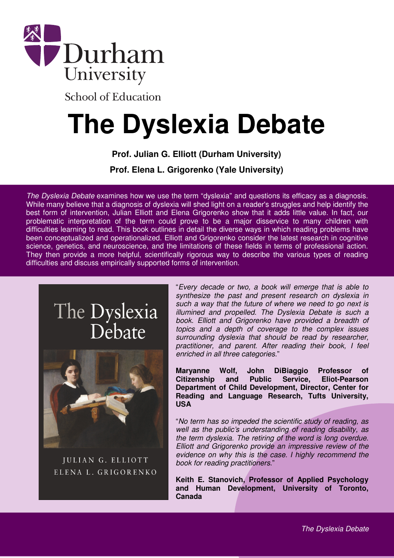

**School of Education** 

# **The Dyslexia Debate**

**Prof. Julian G. Elliott (Durham University)** 

**Prof. Elena L. Grigorenko (Yale University)**

The Dyslexia Debate examines how we use the term "dyslexia" and questions its efficacy as a diagnosis. While many believe that a diagnosis of dyslexia will shed light on a reader's struggles and help identify the best form of intervention, Julian Elliott and Elena Grigorenko show that it adds little value. In fact, our problematic interpretation of the term could prove to be a major disservice to many children with difficulties learning to read. This book outlines in detail the diverse ways in which reading problems have been conceptualized and operationalized. Elliott and Grigorenko consider the latest research in cognitive science, genetics, and neuroscience, and the limitations of these fields in terms of professional action. They then provide a more helpful, scientifically rigorous way to describe the various types of reading difficulties and discuss empirically supported forms of intervention.

# The Dyslexia Debate



JULIAN G. ELLIOTT ELENA L. GRIGORENKO "Every decade or two, a book will emerge that is able to synthesize the past and present research on dyslexia in such a way that the future of where we need to go next is illumined and propelled. The Dyslexia Debate is such a book. Elliott and Grigorenko have provided a breadth of topics and a depth of coverage to the complex issues surrounding dyslexia that should be read by researcher, practitioner, and parent. After reading their book, I feel enriched in all three categories."

**Maryanne Wolf, John DiBiaggio Professor of Citizenship and Public Service, Eliot-Pearson Department of Child Development, Director, Center for Reading and Language Research, Tufts University, USA** 

"No term has so impeded the scientific study of reading, as well as the public's understanding of reading disability, as the term dyslexia. The retiring of the word is long overdue. Elliott and Grigorenko provide an impressive review of the evidence on why this is the case. I highly recommend the book for reading practitioners."

**Keith E. Stanovich, Professor of Applied Psychology and Human Development, University of Toronto, Canada**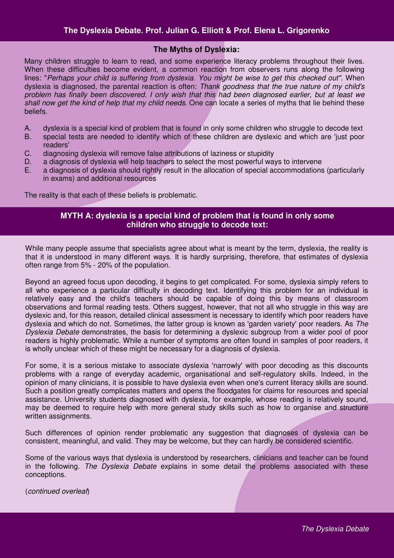#### **The Myths of Dyslexia:**

Many children struggle to learn to read, and some experience literacy problems throughout their lives. When these difficulties become evident, a common reaction from observers runs along the following lines: "Perhaps your child is suffering from dyslexia. You might be wise to get this checked out". When dyslexia is diagnosed, the parental reaction is often: Thank goodness that the true nature of my child's problem has finally been discovered. I only wish that this had been diagnosed earlier, but at least we shall now get the kind of help that my child needs. One can locate a series of myths that lie behind these beliefs.

- A. dyslexia is a special kind of problem that is found in only some children who struggle to decode text
- B. special tests are needed to identify which of these children are dyslexic and which are 'just poor readers'
- C. diagnosing dyslexia will remove false attributions of laziness or stupidity
- D. a diagnosis of dyslexia will help teachers to select the most powerful ways to intervene
- E. a diagnosis of dyslexia should rightly result in the allocation of special accommodations (particularly in exams) and additional resources

The reality is that each of these beliefs is problematic.

#### **MYTH A: dyslexia is a special kind of problem that is found in only some children who struggle to decode text:**

While many people assume that specialists agree about what is meant by the term, dyslexia, the reality is that it is understood in many different ways. It is hardly surprising, therefore, that estimates of dyslexia often range from 5% - 20% of the population.

Beyond an agreed focus upon decoding, it begins to get complicated. For some, dyslexia simply refers to all who experience a particular difficulty in decoding text. Identifying this problem for an individual is relatively easy and the child's teachers should be capable of doing this by means of classroom observations and formal reading tests. Others suggest, however, that not all who struggle in this way are dyslexic and, for this reason, detailed clinical assessment is necessary to identify which poor readers have dyslexia and which do not. Sometimes, the latter group is known as 'garden variety' poor readers. As The Dyslexia Debate demonstrates, the basis for determining a dyslexic subgroup from a wider pool of poor readers is highly problematic. While a number of symptoms are often found in samples of poor readers, it is wholly unclear which of these might be necessary for a diagnosis of dyslexia.

For some, it is a serious mistake to associate dyslexia 'narrowly' with poor decoding as this discounts problems with a range of everyday academic, organisational and self-regulatory skills. Indeed, in the opinion of many clinicians, it is possible to have dyslexia even when one's current literacy skills are sound. Such a position greatly complicates matters and opens the floodgates for claims for resources and special assistance. University students diagnosed with dyslexia, for example, whose reading is relatively sound, may be deemed to require help with more general study skills such as how to organise and structure written assignments.

Such differences of opinion render problematic any suggestion that diagnoses of dyslexia can be consistent, meaningful, and valid. They may be welcome, but they can hardly be considered scientific.

Some of the various ways that dyslexia is understood by researchers, clinicians and teacher can be found in the following. The Dyslexia Debate explains in some detail the problems associated with these conceptions.

(continued overleaf)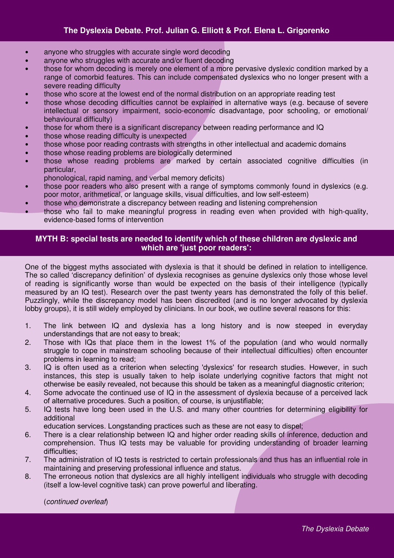# **The Dyslexia Debate. Prof. Julian G. Elliott & Prof. Elena L. Grigorenko**

- anyone who struggles with accurate single word decoding
- anyone who struggles with accurate and/or fluent decoding
- those for whom decoding is merely one element of a more pervasive dyslexic condition marked by a range of comorbid features. This can include compensated dyslexics who no longer present with a severe reading difficulty
- those who score at the lowest end of the normal distribution on an appropriate reading test
- those whose decoding difficulties cannot be explained in alternative ways (e.g. because of severe intellectual or sensory impairment, socio-economic disadvantage, poor schooling, or emotional/ behavioural difficulty)
- those for whom there is a significant discrepancy between reading performance and IQ
- those whose reading difficulty is unexpected
- those whose poor reading contrasts with strengths in other intellectual and academic domains
- those whose reading problems are biologically determined
- those whose reading problems are marked by certain associated cognitive difficulties (in particular,
	- phonological, rapid naming, and verbal memory deficits)
- those poor readers who also present with a range of symptoms commonly found in dyslexics (e.g. poor motor, arithmetical, or language skills, visual difficulties, and low self-esteem)
- those who demonstrate a discrepancy between reading and listening comprehension
- those who fail to make meaningful progress in reading even when provided with high-quality, evidence-based forms of intervention

# **MYTH B: special tests are needed to identify which of these children are dyslexic and which are 'just poor readers':**

One of the biggest myths associated with dyslexia is that it should be defined in relation to intelligence. The so called 'discrepancy definition' of dyslexia recognises as genuine dyslexics only those whose level of reading is significantly worse than would be expected on the basis of their intelligence (typically measured by an IQ test). Research over the past twenty years has demonstrated the folly of this belief. Puzzlingly, while the discrepancy model has been discredited (and is no longer advocated by dyslexia lobby groups), it is still widely employed by clinicians. In our book, we outline several reasons for this:

- 1. The link between IQ and dyslexia has a long history and is now steeped in everyday understandings that are not easy to break;
- 2. Those with IQs that place them in the lowest 1% of the population (and who would normally struggle to cope in mainstream schooling because of their intellectual difficulties) often encounter problems in learning to read;
- 3. IQ is often used as a criterion when selecting 'dyslexics' for research studies. However, in such instances, this step is usually taken to help isolate underlying cognitive factors that might not otherwise be easily revealed, not because this should be taken as a meaningful diagnostic criterion;
- 4. Some advocate the continued use of IQ in the assessment of dyslexia because of a perceived lack of alternative procedures. Such a position, of course, is unjustifiable;
- 5. IQ tests have long been used in the U.S. and many other countries for determining eligibility for additional

education services. Longstanding practices such as these are not easy to dispel;

- 6. There is a clear relationship between IQ and higher order reading skills of inference, deduction and comprehension. Thus IQ tests may be valuable for providing understanding of broader learning difficulties;
- 7. The administration of IQ tests is restricted to certain professionals and thus has an influential role in maintaining and preserving professional influence and status.
- 8. The erroneous notion that dyslexics are all highly intelligent individuals who struggle with decoding (itself a low-level cognitive task) can prove powerful and liberating.

(continued overleaf)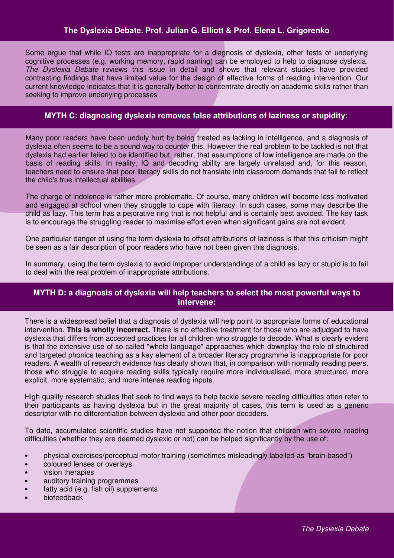#### **The Dyslexia Debate. Prof. Julian G. Elliott & Prof. Elena L. Grigorenko**

Some argue that while IQ tests are inappropriate for a diagnosis of dyslexia, other tests of underlying cognitive processes (e.g. working memory, rapid naming) can be employed to help to diagnose dyslexia. The Dyslexia Debate reviews this issue in detail and shows that relevant studies have provided contrasting findings that have limited value for the design of effective forms of reading intervention. Our current knowledge indicates that it is generally better to concentrate directly on academic skills rather than seeking to improve underlying processes

#### **MYTH C: diagnosing dyslexia removes false attributions of laziness or stupidity:**

Many poor readers have been unduly hurt by being treated as lacking in intelligence, and a diagnosis of dyslexia often seems to be a sound way to counter this. However the real problem to be tackled is not that dyslexia had earlier failed to be identified but, rather, that assumptions of low intelligence are made on the basis of reading skills. In reality, IQ and decoding ability are largely unrelated and, for this reason, teachers need to ensure that poor literacy skills do not translate into classroom demands that fail to reflect the child's true intellectual abilities.

The charge of indolence is rather more problematic. Of course, many children will become less motivated and engaged at school when they struggle to cope with literacy. In such cases, some may describe the child as lazy. This term has a pejorative ring that is not helpful and is certainly best avoided. The key task is to encourage the struggling reader to maximise effort even when significant gains are not evident.

One particular danger of using the term dyslexia to offset attributions of laziness is that this criticism might be seen as a fair description of poor readers who have not been given this diagnosis.

In summary, using the term dyslexia to avoid improper understandings of a child as lazy or stupid is to fail to deal with the real problem of inappropriate attributions.

# **MYTH D: a diagnosis of dyslexia will help teachers to select the most powerful ways to intervene:**

There is a widespread belief that a diagnosis of dyslexia will help point to appropriate forms of educational intervention. **This is wholly incorrect.** There is no effective treatment for those who are adjudged to have dyslexia that differs from accepted practices for all children who struggle to decode. What is clearly evident is that the extensive use of so-called "whole language" approaches which downplay the role of structured and targeted phonics teaching as a key element of a broader literacy programme is inappropriate for poor readers. A wealth of research evidence has clearly shown that, in comparison with normally reading peers. those who struggle to acquire reading skills typically require more individualised, more structured, more explicit, more systematic, and more intense reading inputs.

High quality research studies that seek to find ways to help tackle severe reading difficulties often refer to their participants as having dyslexia but in the great majority of cases, this term is used as a generic descriptor with no differentiation between dyslexic and other poor decoders.

To date, accumulated scientific studies have not supported the notion that children with severe reading difficulties (whether they are deemed dyslexic or not) can be helped significantly by the use of:

- physical exercises/perceptual-motor training (sometimes misleadingly labelled as "brain-based")
- coloured lenses or overlays
- vision therapies
- auditory training programmes
- fatty acid (e.g. fish oil) supplements
- biofeedback